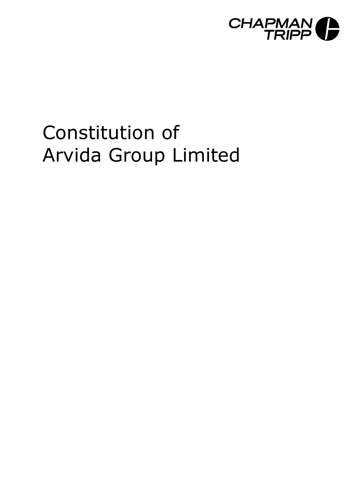

# Constitution of Arvida Group Limited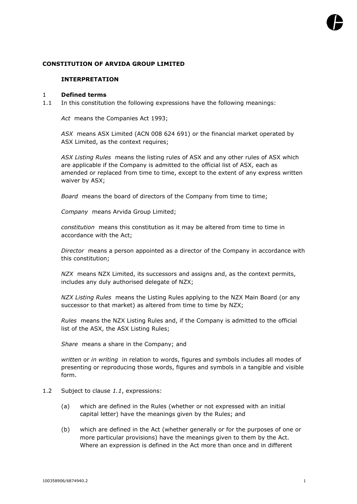# **CONSTITUTION OF ARVIDA GROUP LIMITED**

#### **INTERPRETATION**

## 1 **Defined terms**

1.1 In this constitution the following expressions have the following meanings:

*Act* means the Companies Act 1993;

*ASX* means ASX Limited (ACN 008 624 691) or the financial market operated by ASX Limited, as the context requires;

*ASX Listing Rules* means the listing rules of ASX and any other rules of ASX which are applicable if the Company is admitted to the official list of ASX, each as amended or replaced from time to time, except to the extent of any express written waiver by ASX;

*Board* means the board of directors of the Company from time to time;

*Company* means Arvida Group Limited;

*constitution* means this constitution as it may be altered from time to time in accordance with the Act;

*Director* means a person appointed as a director of the Company in accordance with this constitution;

*NZX* means NZX Limited, its successors and assigns and, as the context permits, includes any duly authorised delegate of NZX;

*NZX Listing Rules* means the Listing Rules applying to the NZX Main Board (or any successor to that market) as altered from time to time by NZX;

*Rules* means the NZX Listing Rules and, if the Company is admitted to the official list of the ASX, the ASX Listing Rules;

*Share* means a share in the Company; and

*written* or *in writing* in relation to words, figures and symbols includes all modes of presenting or reproducing those words, figures and symbols in a tangible and visible form.

- 1.2 Subject to clause *1.1*, expressions:
	- (a) which are defined in the Rules (whether or not expressed with an initial capital letter) have the meanings given by the Rules; and
	- (b) which are defined in the Act (whether generally or for the purposes of one or more particular provisions) have the meanings given to them by the Act. Where an expression is defined in the Act more than once and in different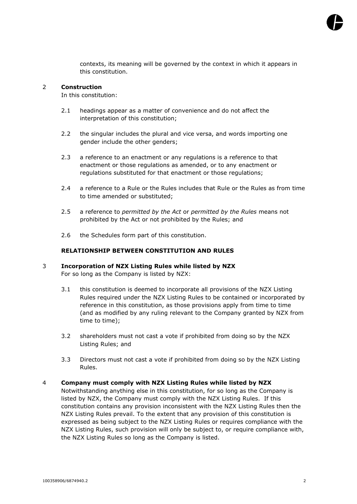

contexts, its meaning will be governed by the context in which it appears in this constitution.

## 2 **Construction**

In this constitution:

- 2.1 headings appear as a matter of convenience and do not affect the interpretation of this constitution;
- 2.2 the singular includes the plural and vice versa, and words importing one gender include the other genders;
- 2.3 a reference to an enactment or any regulations is a reference to that enactment or those regulations as amended, or to any enactment or regulations substituted for that enactment or those regulations;
- 2.4 a reference to a Rule or the Rules includes that Rule or the Rules as from time to time amended or substituted;
- 2.5 a reference to *permitted by the Act* or *permitted by the Rules* means not prohibited by the Act or not prohibited by the Rules; and
- 2.6 the Schedules form part of this constitution.

## **RELATIONSHIP BETWEEN CONSTITUTION AND RULES**

# 3 **Incorporation of NZX Listing Rules while listed by NZX** For so long as the Company is listed by NZX:

- 3.1 this constitution is deemed to incorporate all provisions of the NZX Listing Rules required under the NZX Listing Rules to be contained or incorporated by reference in this constitution, as those provisions apply from time to time (and as modified by any ruling relevant to the Company granted by NZX from time to time);
- 3.2 shareholders must not cast a vote if prohibited from doing so by the NZX Listing Rules; and
- 3.3 Directors must not cast a vote if prohibited from doing so by the NZX Listing Rules.

#### 4 **Company must comply with NZX Listing Rules while listed by NZX**

Notwithstanding anything else in this constitution, for so long as the Company is listed by NZX, the Company must comply with the NZX Listing Rules. If this constitution contains any provision inconsistent with the NZX Listing Rules then the NZX Listing Rules prevail. To the extent that any provision of this constitution is expressed as being subject to the NZX Listing Rules or requires compliance with the NZX Listing Rules, such provision will only be subject to, or require compliance with, the NZX Listing Rules so long as the Company is listed.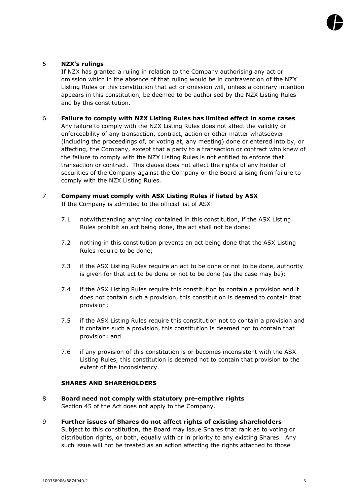

# 5 **NZX's rulings**

If NZX has granted a ruling in relation to the Company authorising any act or omission which in the absence of that ruling would be in contravention of the NZX Listing Rules or this constitution that act or omission will, unless a contrary intention appears in this constitution, be deemed to be authorised by the NZX Listing Rules and by this constitution.

## 6 **Failure to comply with NZX Listing Rules has limited effect in some cases**

Any failure to comply with the NZX Listing Rules does not affect the validity or enforceability of any transaction, contract, action or other matter whatsoever (including the proceedings of, or voting at, any meeting) done or entered into by, or affecting, the Company, except that a party to a transaction or contract who knew of the failure to comply with the NZX Listing Rules is not entitled to enforce that transaction or contract. This clause does not affect the rights of any holder of securities of the Company against the Company or the Board arising from failure to comply with the NZX Listing Rules.

## 7 **Company must comply with ASX Listing Rules if listed by ASX** If the Company is admitted to the official list of ASX:

- 7.1 notwithstanding anything contained in this constitution, if the ASX Listing Rules prohibit an act being done, the act shall not be done;
- 7.2 nothing in this constitution prevents an act being done that the ASX Listing Rules require to be done;
- 7.3 if the ASX Listing Rules require an act to be done or not to be done, authority is given for that act to be done or not to be done (as the case may be);
- 7.4 if the ASX Listing Rules require this constitution to contain a provision and it does not contain such a provision, this constitution is deemed to contain that provision;
- 7.5 if the ASX Listing Rules require this constitution not to contain a provision and it contains such a provision, this constitution is deemed not to contain that provision; and
- 7.6 if any provision of this constitution is or becomes inconsistent with the ASX Listing Rules, this constitution is deemed not to contain that provision to the extent of the inconsistency.

## **SHARES AND SHAREHOLDERS**

- 8 **Board need not comply with statutory pre-emptive rights** Section 45 of the Act does not apply to the Company.
- 9 **Further issues of Shares do not affect rights of existing shareholders** Subject to this constitution, the Board may issue Shares that rank as to voting or distribution rights, or both, equally with or in priority to any existing Shares. Any such issue will not be treated as an action affecting the rights attached to those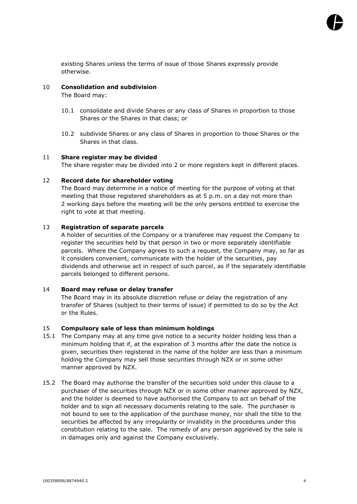

existing Shares unless the terms of issue of those Shares expressly provide otherwise.

## 10 **Consolidation and subdivision**

The Board may:

- 10.1 consolidate and divide Shares or any class of Shares in proportion to those Shares or the Shares in that class; or
- 10.2 subdivide Shares or any class of Shares in proportion to those Shares or the Shares in that class.

## 11 **Share register may be divided**

The share register may be divided into 2 or more registers kept in different places.

## 12 **Record date for shareholder voting**

The Board may determine in a notice of meeting for the purpose of voting at that meeting that those registered shareholders as at 5 p.m. on a day not more than 2 working days before the meeting will be the only persons entitled to exercise the right to vote at that meeting.

## 13 **Registration of separate parcels**

A holder of securities of the Company or a transferee may request the Company to register the securities held by that person in two or more separately identifiable parcels. Where the Company agrees to such a request, the Company may, so far as it considers convenient, communicate with the holder of the securities, pay dividends and otherwise act in respect of such parcel, as if the separately identifiable parcels belonged to different persons.

# 14 **Board may refuse or delay transfer**

The Board may in its absolute discretion refuse or delay the registration of any transfer of Shares (subject to their terms of issue) if permitted to do so by the Act or the Rules.

#### 15 **Compulsory sale of less than minimum holdings**

- 15.1 The Company may at any time give notice to a security holder holding less than a minimum holding that if, at the expiration of 3 months after the date the notice is given, securities then registered in the name of the holder are less than a minimum holding the Company may sell those securities through NZX or in some other manner approved by NZX.
- 15.2 The Board may authorise the transfer of the securities sold under this clause to a purchaser of the securities through NZX or in some other manner approved by NZX, and the holder is deemed to have authorised the Company to act on behalf of the holder and to sign all necessary documents relating to the sale. The purchaser is not bound to see to the application of the purchase money, nor shall the title to the securities be affected by any irregularity or invalidity in the procedures under this constitution relating to the sale. The remedy of any person aggrieved by the sale is in damages only and against the Company exclusively.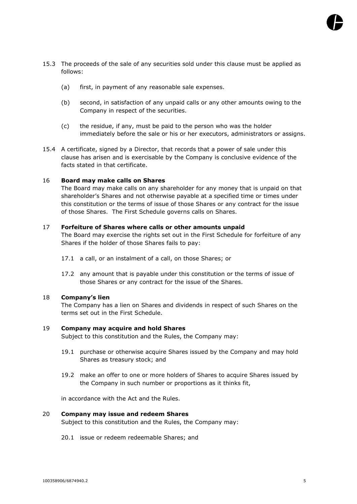- 15.3 The proceeds of the sale of any securities sold under this clause must be applied as follows:
	- (a) first, in payment of any reasonable sale expenses.
	- (b) second, in satisfaction of any unpaid calls or any other amounts owing to the Company in respect of the securities.
	- (c) the residue, if any, must be paid to the person who was the holder immediately before the sale or his or her executors, administrators or assigns.
- 15.4 A certificate, signed by a Director, that records that a power of sale under this clause has arisen and is exercisable by the Company is conclusive evidence of the facts stated in that certificate.

# 16 **Board may make calls on Shares**

The Board may make calls on any shareholder for any money that is unpaid on that shareholder's Shares and not otherwise payable at a specified time or times under this constitution or the terms of issue of those Shares or any contract for the issue of those Shares. The First Schedule governs calls on Shares.

# 17 **Forfeiture of Shares where calls or other amounts unpaid**

The Board may exercise the rights set out in the First Schedule for forfeiture of any Shares if the holder of those Shares fails to pay:

- 17.1 a call, or an instalment of a call, on those Shares; or
- 17.2 any amount that is payable under this constitution or the terms of issue of those Shares or any contract for the issue of the Shares.

# 18 **Company's lien**

The Company has a lien on Shares and dividends in respect of such Shares on the terms set out in the First Schedule.

# 19 **Company may acquire and hold Shares**

Subject to this constitution and the Rules, the Company may:

- 19.1 purchase or otherwise acquire Shares issued by the Company and may hold Shares as treasury stock; and
- 19.2 make an offer to one or more holders of Shares to acquire Shares issued by the Company in such number or proportions as it thinks fit,

in accordance with the Act and the Rules.

# 20 **Company may issue and redeem Shares**

Subject to this constitution and the Rules, the Company may:

20.1 issue or redeem redeemable Shares; and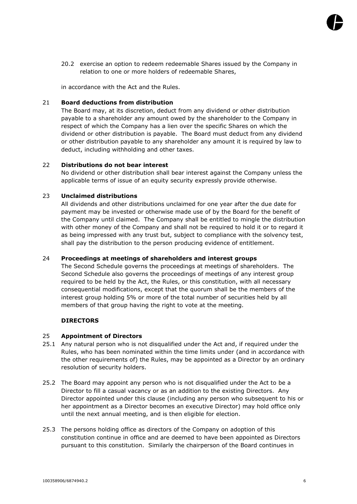

20.2 exercise an option to redeem redeemable Shares issued by the Company in relation to one or more holders of redeemable Shares,

in accordance with the Act and the Rules.

## 21 **Board deductions from distribution**

The Board may, at its discretion, deduct from any dividend or other distribution payable to a shareholder any amount owed by the shareholder to the Company in respect of which the Company has a lien over the specific Shares on which the dividend or other distribution is payable. The Board must deduct from any dividend or other distribution payable to any shareholder any amount it is required by law to deduct, including withholding and other taxes.

## 22 **Distributions do not bear interest**

No dividend or other distribution shall bear interest against the Company unless the applicable terms of issue of an equity security expressly provide otherwise.

# 23 **Unclaimed distributions**

All dividends and other distributions unclaimed for one year after the due date for payment may be invested or otherwise made use of by the Board for the benefit of the Company until claimed. The Company shall be entitled to mingle the distribution with other money of the Company and shall not be required to hold it or to regard it as being impressed with any trust but, subject to compliance with the solvency test, shall pay the distribution to the person producing evidence of entitlement.

# 24 **Proceedings at meetings of shareholders and interest groups**

The Second Schedule governs the proceedings at meetings of shareholders. The Second Schedule also governs the proceedings of meetings of any interest group required to be held by the Act, the Rules, or this constitution, with all necessary consequential modifications, except that the quorum shall be the members of the interest group holding 5% or more of the total number of securities held by all members of that group having the right to vote at the meeting.

# **DIRECTORS**

#### 25 **Appointment of Directors**

- 25.1 Any natural person who is not disqualified under the Act and, if required under the Rules, who has been nominated within the time limits under (and in accordance with the other requirements of) the Rules, may be appointed as a Director by an ordinary resolution of security holders.
- 25.2 The Board may appoint any person who is not disqualified under the Act to be a Director to fill a casual vacancy or as an addition to the existing Directors. Any Director appointed under this clause (including any person who subsequent to his or her appointment as a Director becomes an executive Director) may hold office only until the next annual meeting, and is then eligible for election.
- 25.3 The persons holding office as directors of the Company on adoption of this constitution continue in office and are deemed to have been appointed as Directors pursuant to this constitution. Similarly the chairperson of the Board continues in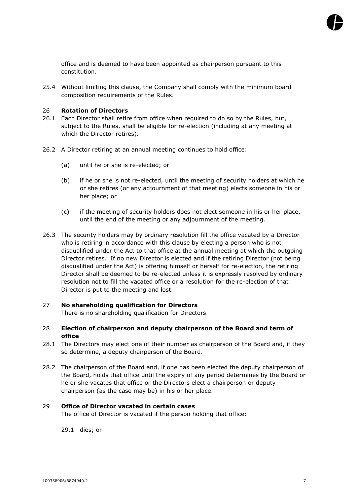

office and is deemed to have been appointed as chairperson pursuant to this constitution.

25.4 Without limiting this clause, the Company shall comply with the minimum board composition requirements of the Rules.

## 26 **Rotation of Directors**

- 26.1 Each Director shall retire from office when required to do so by the Rules, but, subject to the Rules, shall be eligible for re-election (including at any meeting at which the Director retires).
- 26.2 A Director retiring at an annual meeting continues to hold office:
	- (a) until he or she is re-elected; or
	- (b) if he or she is not re-elected, until the meeting of security holders at which he or she retires (or any adjournment of that meeting) elects someone in his or her place; or
	- (c) if the meeting of security holders does not elect someone in his or her place, until the end of the meeting or any adjournment of the meeting.
- 26.3 The security holders may by ordinary resolution fill the office vacated by a Director who is retiring in accordance with this clause by electing a person who is not disqualified under the Act to that office at the annual meeting at which the outgoing Director retires. If no new Director is elected and if the retiring Director (not being disqualified under the Act) is offering himself or herself for re-election, the retiring Director shall be deemed to be re-elected unless it is expressly resolved by ordinary resolution not to fill the vacated office or a resolution for the re-election of that Director is put to the meeting and lost.

#### 27 **No shareholding qualification for Directors**

There is no shareholding qualification for Directors.

- 28 **Election of chairperson and deputy chairperson of the Board and term of office**
- 28.1 The Directors may elect one of their number as chairperson of the Board and, if they so determine, a deputy chairperson of the Board.
- 28.2 The chairperson of the Board and, if one has been elected the deputy chairperson of the Board, holds that office until the expiry of any period determines by the Board or he or she vacates that office or the Directors elect a chairperson or deputy chairperson (as the case may be) in his or her place.

#### 29 **Office of Director vacated in certain cases**

The office of Director is vacated if the person holding that office:

29.1 dies; or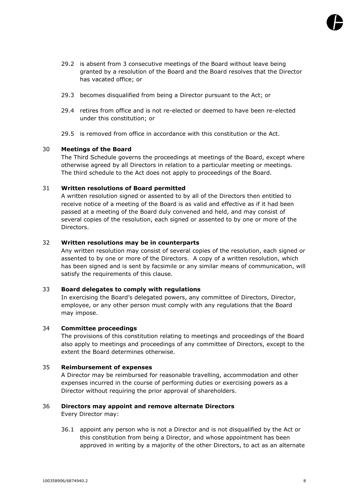

- 29.2 is absent from 3 consecutive meetings of the Board without leave being granted by a resolution of the Board and the Board resolves that the Director has vacated office; or
- 29.3 becomes disqualified from being a Director pursuant to the Act; or
- 29.4 retires from office and is not re-elected or deemed to have been re-elected under this constitution; or
- 29.5 is removed from office in accordance with this constitution or the Act.

## 30 **Meetings of the Board**

The Third Schedule governs the proceedings at meetings of the Board, except where otherwise agreed by all Directors in relation to a particular meeting or meetings. The third schedule to the Act does not apply to proceedings of the Board.

## 31 **Written resolutions of Board permitted**

A written resolution signed or assented to by all of the Directors then entitled to receive notice of a meeting of the Board is as valid and effective as if it had been passed at a meeting of the Board duly convened and held, and may consist of several copies of the resolution, each signed or assented to by one or more of the Directors.

## 32 **Written resolutions may be in counterparts**

Any written resolution may consist of several copies of the resolution, each signed or assented to by one or more of the Directors. A copy of a written resolution, which has been signed and is sent by facsimile or any similar means of communication, will satisfy the requirements of this clause.

#### 33 **Board delegates to comply with regulations**

In exercising the Board's delegated powers, any committee of Directors, Director, employee, or any other person must comply with any regulations that the Board may impose.

# 34 **Committee proceedings**

The provisions of this constitution relating to meetings and proceedings of the Board also apply to meetings and proceedings of any committee of Directors, except to the extent the Board determines otherwise.

# 35 **Reimbursement of expenses**

A Director may be reimbursed for reasonable travelling, accommodation and other expenses incurred in the course of performing duties or exercising powers as a Director without requiring the prior approval of shareholders.

# <span id="page-8-0"></span>36 **Directors may appoint and remove alternate Directors**

Every Director may:

36.1 appoint any person who is not a Director and is not disqualified by the Act or this constitution from being a Director, and whose appointment has been approved in writing by a majority of the other Directors, to act as an alternate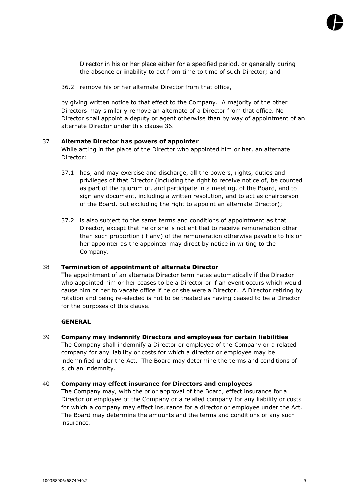

Director in his or her place either for a specified period, or generally during the absence or inability to act from time to time of such Director; and

36.2 remove his or her alternate Director from that office,

by giving written notice to that effect to the Company. A majority of the other Directors may similarly remove an alternate of a Director from that office. No Director shall appoint a deputy or agent otherwise than by way of appointment of an alternate Director under this clause [36.](#page-8-0)

# 37 **Alternate Director has powers of appointer**

While acting in the place of the Director who appointed him or her, an alternate Director:

- 37.1 has, and may exercise and discharge, all the powers, rights, duties and privileges of that Director (including the right to receive notice of, be counted as part of the quorum of, and participate in a meeting, of the Board, and to sign any document, including a written resolution, and to act as chairperson of the Board, but excluding the right to appoint an alternate Director);
- 37.2 is also subject to the same terms and conditions of appointment as that Director, except that he or she is not entitled to receive remuneration other than such proportion (if any) of the remuneration otherwise payable to his or her appointer as the appointer may direct by notice in writing to the Company.

#### 38 **Termination of appointment of alternate Director**

The appointment of an alternate Director terminates automatically if the Director who appointed him or her ceases to be a Director or if an event occurs which would cause him or her to vacate office if he or she were a Director. A Director retiring by rotation and being re-elected is not to be treated as having ceased to be a Director for the purposes of this clause.

#### **GENERAL**

39 **Company may indemnify Directors and employees for certain liabilities** The Company shall indemnify a Director or employee of the Company or a related company for any liability or costs for which a director or employee may be indemnified under the Act. The Board may determine the terms and conditions of such an indemnity.

## 40 **Company may effect insurance for Directors and employees**

The Company may, with the prior approval of the Board, effect insurance for a Director or employee of the Company or a related company for any liability or costs for which a company may effect insurance for a director or employee under the Act. The Board may determine the amounts and the terms and conditions of any such insurance.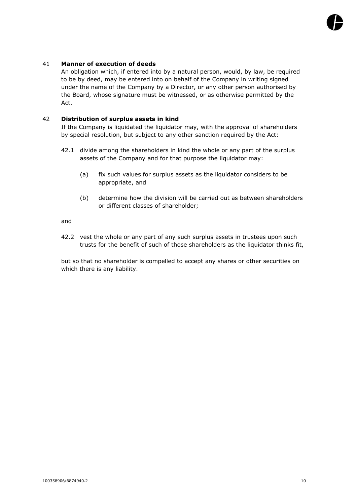# 41 **Manner of execution of deeds**

An obligation which, if entered into by a natural person, would, by law, be required to be by deed, may be entered into on behalf of the Company in writing signed under the name of the Company by a Director, or any other person authorised by the Board, whose signature must be witnessed, or as otherwise permitted by the Act.

# 42 **Distribution of surplus assets in kind**

If the Company is liquidated the liquidator may, with the approval of shareholders by special resolution, but subject to any other sanction required by the Act:

- 42.1 divide among the shareholders in kind the whole or any part of the surplus assets of the Company and for that purpose the liquidator may:
	- (a) fix such values for surplus assets as the liquidator considers to be appropriate, and
	- (b) determine how the division will be carried out as between shareholders or different classes of shareholder;

and

42.2 vest the whole or any part of any such surplus assets in trustees upon such trusts for the benefit of such of those shareholders as the liquidator thinks fit,

but so that no shareholder is compelled to accept any shares or other securities on which there is any liability.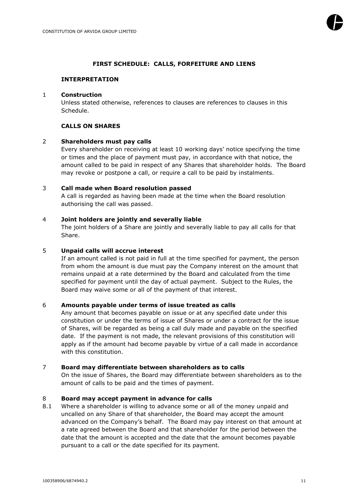# **FIRST SCHEDULE: CALLS, FORFEITURE AND LIENS**

## **INTERPRETATION**

## 1 **Construction**

Unless stated otherwise, references to clauses are references to clauses in this Schedule.

# **CALLS ON SHARES**

# 2 **Shareholders must pay calls**

Every shareholder on receiving at least 10 working days' notice specifying the time or times and the place of payment must pay, in accordance with that notice, the amount called to be paid in respect of any Shares that shareholder holds. The Board may revoke or postpone a call, or require a call to be paid by instalments.

## 3 **Call made when Board resolution passed**

A call is regarded as having been made at the time when the Board resolution authorising the call was passed.

## 4 **Joint holders are jointly and severally liable**

The joint holders of a Share are jointly and severally liable to pay all calls for that Share.

## 5 **Unpaid calls will accrue interest**

If an amount called is not paid in full at the time specified for payment, the person from whom the amount is due must pay the Company interest on the amount that remains unpaid at a rate determined by the Board and calculated from the time specified for payment until the day of actual payment. Subject to the Rules, the Board may waive some or all of the payment of that interest.

#### 6 **Amounts payable under terms of issue treated as calls**

Any amount that becomes payable on issue or at any specified date under this constitution or under the terms of issue of Shares or under a contract for the issue of Shares, will be regarded as being a call duly made and payable on the specified date. If the payment is not made, the relevant provisions of this constitution will apply as if the amount had become payable by virtue of a call made in accordance with this constitution.

## 7 **Board may differentiate between shareholders as to calls**

On the issue of Shares, the Board may differentiate between shareholders as to the amount of calls to be paid and the times of payment.

# 8 **Board may accept payment in advance for calls**

8.1 Where a shareholder is willing to advance some or all of the money unpaid and uncalled on any Share of that shareholder, the Board may accept the amount advanced on the Company's behalf. The Board may pay interest on that amount at a rate agreed between the Board and that shareholder for the period between the date that the amount is accepted and the date that the amount becomes payable pursuant to a call or the date specified for its payment.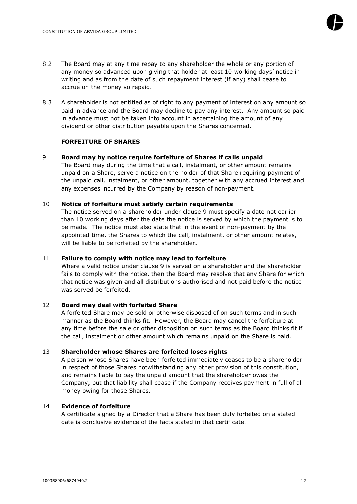

- 8.2 The Board may at any time repay to any shareholder the whole or any portion of any money so advanced upon giving that holder at least 10 working days' notice in writing and as from the date of such repayment interest (if any) shall cease to accrue on the money so repaid.
- 8.3 A shareholder is not entitled as of right to any payment of interest on any amount so paid in advance and the Board may decline to pay any interest. Any amount so paid in advance must not be taken into account in ascertaining the amount of any dividend or other distribution payable upon the Shares concerned.

# **FORFEITURE OF SHARES**

# <span id="page-12-0"></span>9 **Board may by notice require forfeiture of Shares if calls unpaid**

The Board may during the time that a call, instalment, or other amount remains unpaid on a Share, serve a notice on the holder of that Share requiring payment of the unpaid call, instalment, or other amount, together with any accrued interest and any expenses incurred by the Company by reason of non-payment.

#### 10 **Notice of forfeiture must satisfy certain requirements**

The notice served on a shareholder under clause [9](#page-12-0) must specify a date not earlier than 10 working days after the date the notice is served by which the payment is to be made. The notice must also state that in the event of non-payment by the appointed time, the Shares to which the call, instalment, or other amount relates, will be liable to be forfeited by the shareholder.

#### 11 **Failure to comply with notice may lead to forfeiture**

Where a valid notice under clause [9](#page-12-0) is served on a shareholder and the shareholder fails to comply with the notice, then the Board may resolve that any Share for which that notice was given and all distributions authorised and not paid before the notice was served be forfeited.

#### 12 **Board may deal with forfeited Share**

A forfeited Share may be sold or otherwise disposed of on such terms and in such manner as the Board thinks fit. However, the Board may cancel the forfeiture at any time before the sale or other disposition on such terms as the Board thinks fit if the call, instalment or other amount which remains unpaid on the Share is paid.

## 13 **Shareholder whose Shares are forfeited loses rights**

A person whose Shares have been forfeited immediately ceases to be a shareholder in respect of those Shares notwithstanding any other provision of this constitution, and remains liable to pay the unpaid amount that the shareholder owes the Company, but that liability shall cease if the Company receives payment in full of all money owing for those Shares.

#### 14 **Evidence of forfeiture**

A certificate signed by a Director that a Share has been duly forfeited on a stated date is conclusive evidence of the facts stated in that certificate.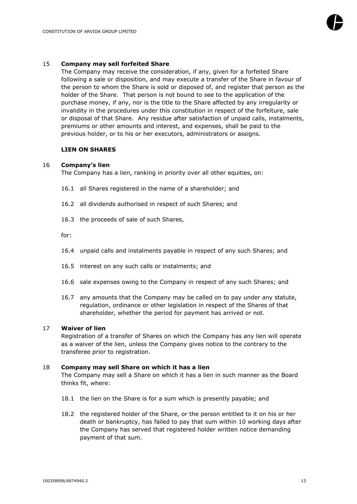

#### 15 **Company may sell forfeited Share**

The Company may receive the consideration, if any, given for a forfeited Share following a sale or disposition, and may execute a transfer of the Share in favour of the person to whom the Share is sold or disposed of, and register that person as the holder of the Share. That person is not bound to see to the application of the purchase money, if any, nor is the title to the Share affected by any irregularity or invalidity in the procedures under this constitution in respect of the forfeiture, sale or disposal of that Share. Any residue after satisfaction of unpaid calls, instalments, premiums or other amounts and interest, and expenses, shall be paid to the previous holder, or to his or her executors, administrators or assigns.

#### **LIEN ON SHARES**

#### 16 **Company's lien**

The Company has a lien, ranking in priority over all other equities, on:

- 16.1 all Shares registered in the name of a shareholder; and
- 16.2 all dividends authorised in respect of such Shares; and
- 16.3 the proceeds of sale of such Shares,

for:

- 16.4 unpaid calls and instalments payable in respect of any such Shares; and
- 16.5 interest on any such calls or instalments; and
- 16.6 sale expenses owing to the Company in respect of any such Shares; and
- 16.7 any amounts that the Company may be called on to pay under any statute, regulation, ordinance or other legislation in respect of the Shares of that shareholder, whether the period for payment has arrived or not.

### 17 **Waiver of lien**

Registration of a transfer of Shares on which the Company has any lien will operate as a waiver of the lien, unless the Company gives notice to the contrary to the transferee prior to registration.

#### <span id="page-13-0"></span>18 **Company may sell Share on which it has a lien**

The Company may sell a Share on which it has a lien in such manner as the Board thinks fit, where:

- 18.1 the lien on the Share is for a sum which is presently payable; and
- 18.2 the registered holder of the Share, or the person entitled to it on his or her death or bankruptcy, has failed to pay that sum within 10 working days after the Company has served that registered holder written notice demanding payment of that sum.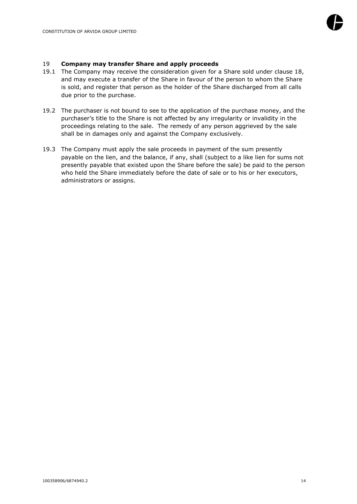

## 19 **Company may transfer Share and apply proceeds**

- 19.1 The Company may receive the consideration given for a Share sold under clause [18,](#page-13-0) and may execute a transfer of the Share in favour of the person to whom the Share is sold, and register that person as the holder of the Share discharged from all calls due prior to the purchase.
- 19.2 The purchaser is not bound to see to the application of the purchase money, and the purchaser's title to the Share is not affected by any irregularity or invalidity in the proceedings relating to the sale. The remedy of any person aggrieved by the sale shall be in damages only and against the Company exclusively.
- 19.3 The Company must apply the sale proceeds in payment of the sum presently payable on the lien, and the balance, if any, shall (subject to a like lien for sums not presently payable that existed upon the Share before the sale) be paid to the person who held the Share immediately before the date of sale or to his or her executors, administrators or assigns.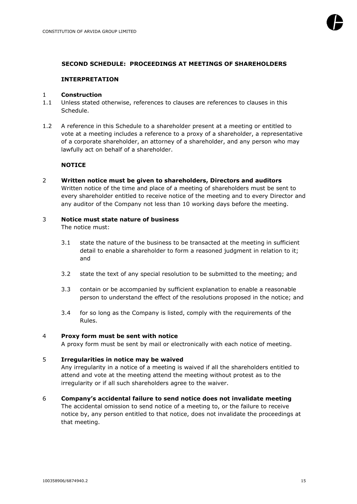## **SECOND SCHEDULE: PROCEEDINGS AT MEETINGS OF SHAREHOLDERS**

## **INTERPRETATION**

# 1 **Construction**

- 1.1 Unless stated otherwise, references to clauses are references to clauses in this Schedule.
- 1.2 A reference in this Schedule to a shareholder present at a meeting or entitled to vote at a meeting includes a reference to a proxy of a shareholder, a representative of a corporate shareholder, an attorney of a shareholder, and any person who may lawfully act on behalf of a shareholder.

# **NOTICE**

2 **Written notice must be given to shareholders, Directors and auditors** Written notice of the time and place of a meeting of shareholders must be sent to every shareholder entitled to receive notice of the meeting and to every Director and any auditor of the Company not less than 10 working days before the meeting.

## 3 **Notice must state nature of business**

The notice must:

- 3.1 state the nature of the business to be transacted at the meeting in sufficient detail to enable a shareholder to form a reasoned judgment in relation to it; and
- 3.2 state the text of any special resolution to be submitted to the meeting; and
- 3.3 contain or be accompanied by sufficient explanation to enable a reasonable person to understand the effect of the resolutions proposed in the notice; and
- 3.4 for so long as the Company is listed, comply with the requirements of the Rules.

#### 4 **Proxy form must be sent with notice**

A proxy form must be sent by mail or electronically with each notice of meeting.

#### 5 **Irregularities in notice may be waived**

Any irregularity in a notice of a meeting is waived if all the shareholders entitled to attend and vote at the meeting attend the meeting without protest as to the irregularity or if all such shareholders agree to the waiver.

#### 6 **Company's accidental failure to send notice does not invalidate meeting**

The accidental omission to send notice of a meeting to, or the failure to receive notice by, any person entitled to that notice, does not invalidate the proceedings at that meeting.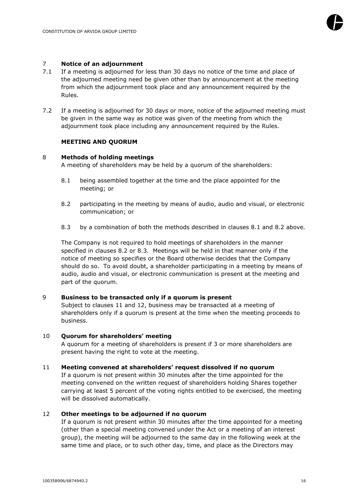

#### 7 **Notice of an adjournment**

- 7.1 If a meeting is adjourned for less than 30 days no notice of the time and place of the adjourned meeting need be given other than by announcement at the meeting from which the adjournment took place and any announcement required by the Rules.
- 7.2 If a meeting is adjourned for 30 days or more, notice of the adjourned meeting must be given in the same way as notice was given of the meeting from which the adjournment took place including any announcement required by the Rules.

## **MEETING AND QUORUM**

## 8 **Methods of holding meetings**

A meeting of shareholders may be held by a quorum of the shareholders:

- <span id="page-16-0"></span>8.1 being assembled together at the time and the place appointed for the meeting; or
- <span id="page-16-1"></span>8.2 participating in the meeting by means of audio, audio and visual, or electronic communication; or
- <span id="page-16-2"></span>8.3 by a combination of both the methods described in clauses [8.1](#page-16-0) and [8.2](#page-16-1) above*.*

The Company is not required to hold meetings of shareholders in the manner specified in clauses [8.2](#page-16-1) or [8.3](#page-16-2)*.* Meetings will be held in that manner only if the notice of meeting so specifies or the Board otherwise decides that the Company should do so. To avoid doubt, a shareholder participating in a meeting by means of audio, audio and visual, or electronic communication is present at the meeting and part of the quorum.

#### 9 **Business to be transacted only if a quorum is present**

Subject to clauses [11](#page-16-3) and [12,](#page-16-4) business may be transacted at a meeting of shareholders only if a quorum is present at the time when the meeting proceeds to business.

#### 10 **Quorum for shareholders' meeting**

A quorum for a meeting of shareholders is present if 3 or more shareholders are present having the right to vote at the meeting.

#### <span id="page-16-3"></span>11 **Meeting convened at shareholders' request dissolved if no quorum**

If a quorum is not present within 30 minutes after the time appointed for the meeting convened on the written request of shareholders holding Shares together carrying at least 5 percent of the voting rights entitled to be exercised, the meeting will be dissolved automatically.

#### <span id="page-16-4"></span>12 **Other meetings to be adjourned if no quorum**

If a quorum is not present within 30 minutes after the time appointed for a meeting (other than a special meeting convened under the Act or a meeting of an interest group), the meeting will be adjourned to the same day in the following week at the same time and place, or to such other day, time, and place as the Directors may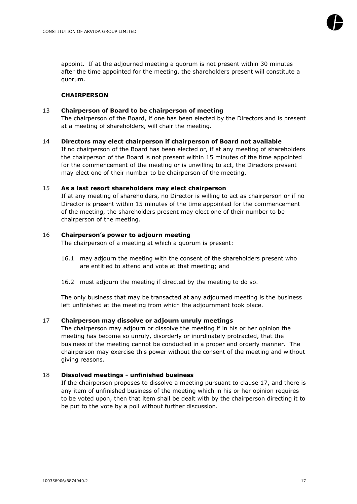

appoint. If at the adjourned meeting a quorum is not present within 30 minutes after the time appointed for the meeting, the shareholders present will constitute a quorum.

# **CHAIRPERSON**

## 13 **Chairperson of Board to be chairperson of meeting**

The chairperson of the Board, if one has been elected by the Directors and is present at a meeting of shareholders, will chair the meeting.

#### 14 **Directors may elect chairperson if chairperson of Board not available**

If no chairperson of the Board has been elected or, if at any meeting of shareholders the chairperson of the Board is not present within 15 minutes of the time appointed for the commencement of the meeting or is unwilling to act, the Directors present may elect one of their number to be chairperson of the meeting.

## 15 **As a last resort shareholders may elect chairperson**

If at any meeting of shareholders, no Director is willing to act as chairperson or if no Director is present within 15 minutes of the time appointed for the commencement of the meeting, the shareholders present may elect one of their number to be chairperson of the meeting.

## 16 **Chairperson's power to adjourn meeting**

The chairperson of a meeting at which a quorum is present:

- 16.1 may adjourn the meeting with the consent of the shareholders present who are entitled to attend and vote at that meeting; and
- 16.2 must adjourn the meeting if directed by the meeting to do so.

The only business that may be transacted at any adjourned meeting is the business left unfinished at the meeting from which the adjournment took place.

# <span id="page-17-0"></span>17 **Chairperson may dissolve or adjourn unruly meetings**

The chairperson may adjourn or dissolve the meeting if in his or her opinion the meeting has become so unruly, disorderly or inordinately protracted, that the business of the meeting cannot be conducted in a proper and orderly manner. The chairperson may exercise this power without the consent of the meeting and without giving reasons.

# 18 **Dissolved meetings - unfinished business**

If the chairperson proposes to dissolve a meeting pursuant to clause [17,](#page-17-0) and there is any item of unfinished business of the meeting which in his or her opinion requires to be voted upon, then that item shall be dealt with by the chairperson directing it to be put to the vote by a poll without further discussion.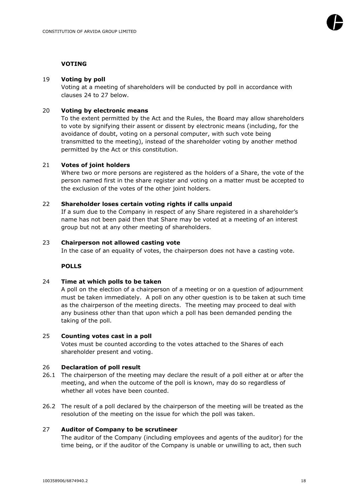# **VOTING**

# 19 **Voting by poll**

Voting at a meeting of shareholders will be conducted by poll in accordance with clauses [24](#page-18-0) to [27](#page-18-1) below.

# 20 **Voting by electronic means**

To the extent permitted by the Act and the Rules, the Board may allow shareholders to vote by signifying their assent or dissent by electronic means (including, for the avoidance of doubt, voting on a personal computer, with such vote being transmitted to the meeting), instead of the shareholder voting by another method permitted by the Act or this constitution.

# 21 **Votes of joint holders**

Where two or more persons are registered as the holders of a Share, the vote of the person named first in the share register and voting on a matter must be accepted to the exclusion of the votes of the other joint holders.

# 22 **Shareholder loses certain voting rights if calls unpaid**

If a sum due to the Company in respect of any Share registered in a shareholder's name has not been paid then that Share may be voted at a meeting of an interest group but not at any other meeting of shareholders.

# 23 **Chairperson not allowed casting vote**

In the case of an equality of votes, the chairperson does not have a casting vote.

# **POLLS**

# 24 **Time at which polls to be taken**

<span id="page-18-0"></span>A poll on the election of a chairperson of a meeting or on a question of adjournment must be taken immediately. A poll on any other question is to be taken at such time as the chairperson of the meeting directs. The meeting may proceed to deal with any business other than that upon which a poll has been demanded pending the taking of the poll.

# 25 **Counting votes cast in a poll**

Votes must be counted according to the votes attached to the Shares of each shareholder present and voting.

# 26 **Declaration of poll result**

- 26.1 The chairperson of the meeting may declare the result of a poll either at or after the meeting, and when the outcome of the poll is known, may do so regardless of whether all votes have been counted.
- 26.2 The result of a poll declared by the chairperson of the meeting will be treated as the resolution of the meeting on the issue for which the poll was taken.

# 27 **Auditor of Company to be scrutineer**

<span id="page-18-1"></span>The auditor of the Company (including employees and agents of the auditor) for the time being, or if the auditor of the Company is unable or unwilling to act, then such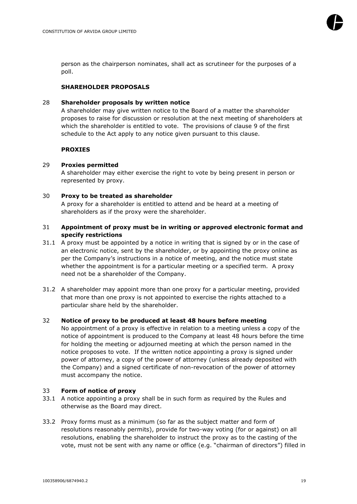

person as the chairperson nominates, shall act as scrutineer for the purposes of a poll.

# **SHAREHOLDER PROPOSALS**

## 28 **Shareholder proposals by written notice**

A shareholder may give written notice to the Board of a matter the shareholder proposes to raise for discussion or resolution at the next meeting of shareholders at which the shareholder is entitled to vote. The provisions of clause 9 of the first schedule to the Act apply to any notice given pursuant to this clause.

#### **PROXIES**

## 29 **Proxies permitted**

A shareholder may either exercise the right to vote by being present in person or represented by proxy.

## 30 **Proxy to be treated as shareholder**

A proxy for a shareholder is entitled to attend and be heard at a meeting of shareholders as if the proxy were the shareholder.

## 31 **Appointment of proxy must be in writing or approved electronic format and specify restrictions**

- 31.1 A proxy must be appointed by a notice in writing that is signed by or in the case of an electronic notice, sent by the shareholder, or by appointing the proxy online as per the Company's instructions in a notice of meeting, and the notice must state whether the appointment is for a particular meeting or a specified term. A proxy need not be a shareholder of the Company.
- 31.2 A shareholder may appoint more than one proxy for a particular meeting, provided that more than one proxy is not appointed to exercise the rights attached to a particular share held by the shareholder.

# 32 **Notice of proxy to be produced at least 48 hours before meeting**

No appointment of a proxy is effective in relation to a meeting unless a copy of the notice of appointment is produced to the Company at least 48 hours before the time for holding the meeting or adjourned meeting at which the person named in the notice proposes to vote. If the written notice appointing a proxy is signed under power of attorney, a copy of the power of attorney (unless already deposited with the Company) and a signed certificate of non-revocation of the power of attorney must accompany the notice.

#### 33 **Form of notice of proxy**

- 33.1 A notice appointing a proxy shall be in such form as required by the Rules and otherwise as the Board may direct.
- 33.2 Proxy forms must as a minimum (so far as the subject matter and form of resolutions reasonably permits), provide for two-way voting (for or against) on all resolutions, enabling the shareholder to instruct the proxy as to the casting of the vote, must not be sent with any name or office (e.g. "chairman of directors") filled in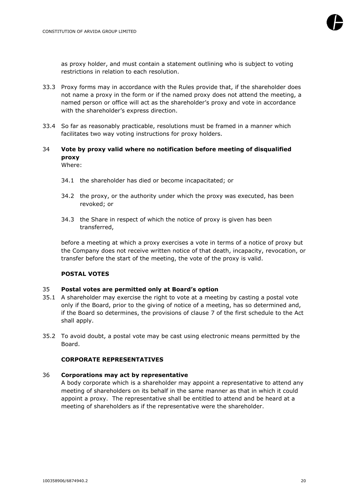

as proxy holder, and must contain a statement outlining who is subject to voting restrictions in relation to each resolution.

- 33.3 Proxy forms may in accordance with the Rules provide that, if the shareholder does not name a proxy in the form or if the named proxy does not attend the meeting, a named person or office will act as the shareholder's proxy and vote in accordance with the shareholder's express direction.
- 33.4 So far as reasonably practicable, resolutions must be framed in a manner which facilitates two way voting instructions for proxy holders.

#### 34 **Vote by proxy valid where no notification before meeting of disqualified proxy** Where:

- 34.1 the shareholder has died or become incapacitated; or
- 34.2 the proxy, or the authority under which the proxy was executed, has been revoked; or
- 34.3 the Share in respect of which the notice of proxy is given has been transferred,

before a meeting at which a proxy exercises a vote in terms of a notice of proxy but the Company does not receive written notice of that death, incapacity, revocation, or transfer before the start of the meeting, the vote of the proxy is valid.

#### **POSTAL VOTES**

#### 35 **Postal votes are permitted only at Board's option**

- 35.1 A shareholder may exercise the right to vote at a meeting by casting a postal vote only if the Board, prior to the giving of notice of a meeting, has so determined and, if the Board so determines, the provisions of clause 7 of the first schedule to the Act shall apply.
- 35.2 To avoid doubt, a postal vote may be cast using electronic means permitted by the Board.

#### **CORPORATE REPRESENTATIVES**

#### 36 **Corporations may act by representative**

A body corporate which is a shareholder may appoint a representative to attend any meeting of shareholders on its behalf in the same manner as that in which it could appoint a proxy. The representative shall be entitled to attend and be heard at a meeting of shareholders as if the representative were the shareholder.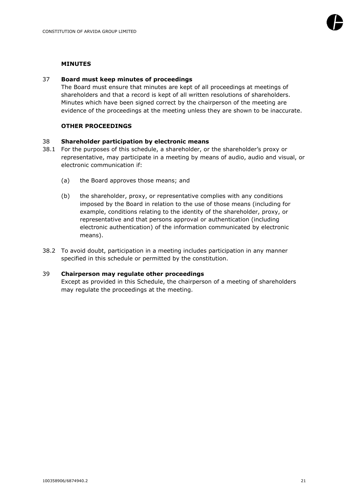

#### **MINUTES**

#### 37 **Board must keep minutes of proceedings**

The Board must ensure that minutes are kept of all proceedings at meetings of shareholders and that a record is kept of all written resolutions of shareholders. Minutes which have been signed correct by the chairperson of the meeting are evidence of the proceedings at the meeting unless they are shown to be inaccurate.

## **OTHER PROCEEDINGS**

## 38 **Shareholder participation by electronic means**

- 38.1 For the purposes of this schedule, a shareholder, or the shareholder's proxy or representative, may participate in a meeting by means of audio, audio and visual, or electronic communication if:
	- (a) the Board approves those means; and
	- (b) the shareholder, proxy, or representative complies with any conditions imposed by the Board in relation to the use of those means (including for example, conditions relating to the identity of the shareholder, proxy, or representative and that persons approval or authentication (including electronic authentication) of the information communicated by electronic means).
- 38.2 To avoid doubt, participation in a meeting includes participation in any manner specified in this schedule or permitted by the constitution.

#### 39 **Chairperson may regulate other proceedings**

Except as provided in this Schedule, the chairperson of a meeting of shareholders may regulate the proceedings at the meeting.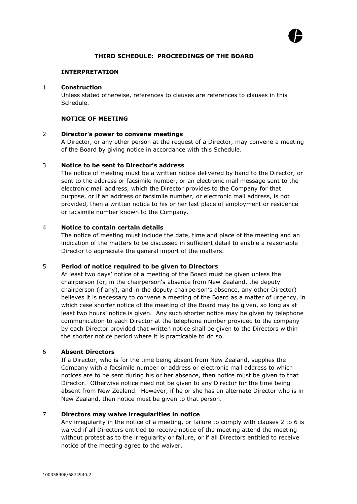

# **THIRD SCHEDULE: PROCEEDINGS OF THE BOARD**

#### **INTERPRETATION**

#### 1 **Construction**

Unless stated otherwise, references to clauses are references to clauses in this Schedule.

# **NOTICE OF MEETING**

# <span id="page-22-0"></span>2 **Director's power to convene meetings**

A Director, or any other person at the request of a Director, may convene a meeting of the Board by giving notice in accordance with this Schedule.

## 3 **Notice to be sent to Director's address**

The notice of meeting must be a written notice delivered by hand to the Director, or sent to the address or facsimile number, or an electronic mail message sent to the electronic mail address, which the Director provides to the Company for that purpose, or if an address or facsimile number, or electronic mail address, is not provided, then a written notice to his or her last place of employment or residence or facsimile number known to the Company.

## 4 **Notice to contain certain details**

The notice of meeting must include the date, time and place of the meeting and an indication of the matters to be discussed in sufficient detail to enable a reasonable Director to appreciate the general import of the matters.

# 5 **Period of notice required to be given to Directors**

At least two days' notice of a meeting of the Board must be given unless the chairperson (or, in the chairperson's absence from New Zealand, the deputy chairperson (if any), and in the deputy chairperson's absence, any other Director) believes it is necessary to convene a meeting of the Board as a matter of urgency, in which case shorter notice of the meeting of the Board may be given, so long as at least two hours' notice is given. Any such shorter notice may be given by telephone communication to each Director at the telephone number provided to the company by each Director provided that written notice shall be given to the Directors within the shorter notice period where it is practicable to do so.

# <span id="page-22-1"></span>6 **Absent Directors**

If a Director, who is for the time being absent from New Zealand, supplies the Company with a facsimile number or address or electronic mail address to which notices are to be sent during his or her absence, then notice must be given to that Director. Otherwise notice need not be given to any Director for the time being absent from New Zealand. However, if he or she has an alternate Director who is in New Zealand, then notice must be given to that person.

# 7 **Directors may waive irregularities in notice**

Any irregularity in the notice of a meeting, or failure to comply with clauses [2](#page-22-0) to [6](#page-22-1) is waived if all Directors entitled to receive notice of the meeting attend the meeting without protest as to the irregularity or failure, or if all Directors entitled to receive notice of the meeting agree to the waiver.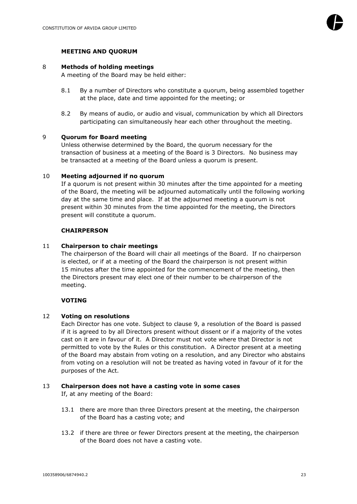## **MEETING AND QUORUM**

#### 8 **Methods of holding meetings**

A meeting of the Board may be held either:

- 8.1 By a number of Directors who constitute a quorum, being assembled together at the place, date and time appointed for the meeting; or
- 8.2 By means of audio, or audio and visual, communication by which all Directors participating can simultaneously hear each other throughout the meeting.

# <span id="page-23-0"></span>9 **Quorum for Board meeting**

Unless otherwise determined by the Board, the quorum necessary for the transaction of business at a meeting of the Board is 3 Directors. No business may be transacted at a meeting of the Board unless a quorum is present.

#### 10 **Meeting adjourned if no quorum**

If a quorum is not present within 30 minutes after the time appointed for a meeting of the Board, the meeting will be adjourned automatically until the following working day at the same time and place. If at the adjourned meeting a quorum is not present within 30 minutes from the time appointed for the meeting, the Directors present will constitute a quorum.

#### **CHAIRPERSON**

#### 11 **Chairperson to chair meetings**

The chairperson of the Board will chair all meetings of the Board. If no chairperson is elected, or if at a meeting of the Board the chairperson is not present within 15 minutes after the time appointed for the commencement of the meeting, then the Directors present may elect one of their number to be chairperson of the meeting.

#### **VOTING**

#### 12 **Voting on resolutions**

Each Director has one vote. Subject to clause [9,](#page-23-0) a resolution of the Board is passed if it is agreed to by all Directors present without dissent or if a majority of the votes cast on it are in favour of it. A Director must not vote where that Director is not permitted to vote by the Rules or this constitution. A Director present at a meeting of the Board may abstain from voting on a resolution, and any Director who abstains from voting on a resolution will not be treated as having voted in favour of it for the purposes of the Act.

#### 13 **Chairperson does not have a casting vote in some cases**

If, at any meeting of the Board:

- 13.1 there are more than three Directors present at the meeting, the chairperson of the Board has a casting vote; and
- 13.2 if there are three or fewer Directors present at the meeting, the chairperson of the Board does not have a casting vote.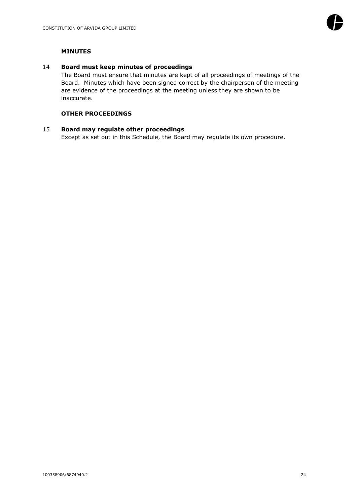

# **MINUTES**

#### 14 **Board must keep minutes of proceedings**

The Board must ensure that minutes are kept of all proceedings of meetings of the Board. Minutes which have been signed correct by the chairperson of the meeting are evidence of the proceedings at the meeting unless they are shown to be inaccurate.

# **OTHER PROCEEDINGS**

## 15 **Board may regulate other proceedings**

Except as set out in this Schedule, the Board may regulate its own procedure.